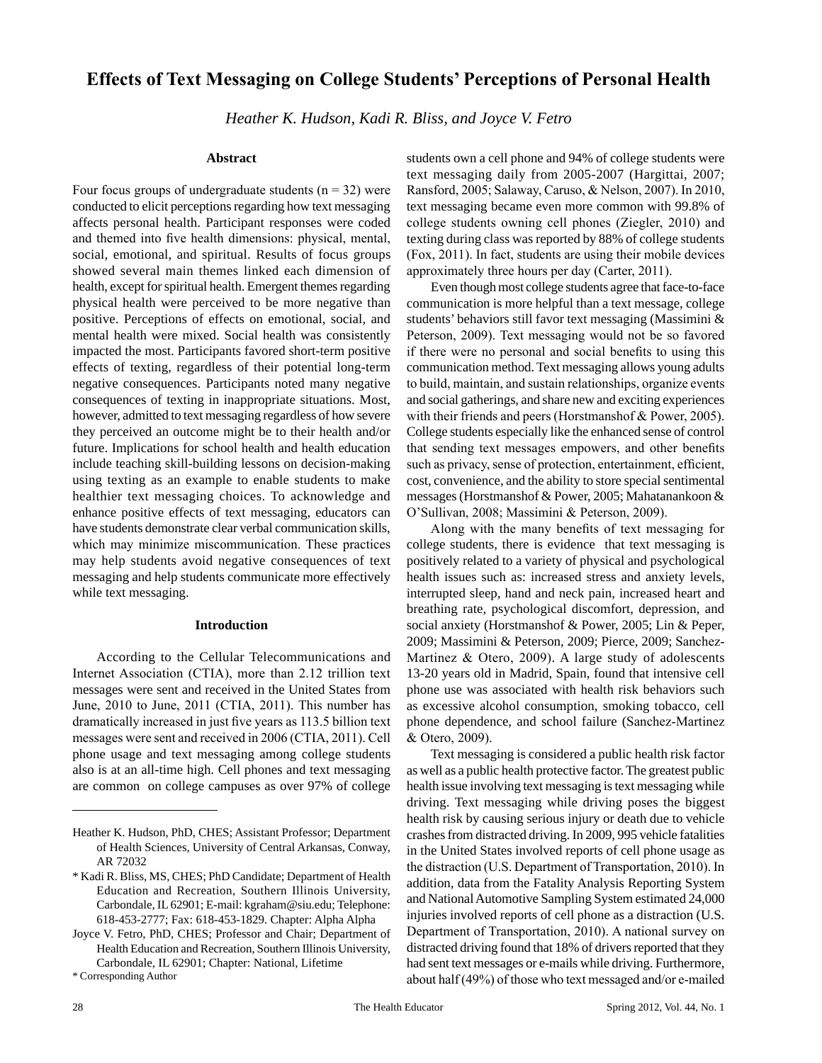# **Effects of Text Messaging on College Students' Perceptions of Personal Health**

*Heather K. Hudson, Kadi R. Bliss, and Joyce V. Fetro*

### **Abstract**

Four focus groups of undergraduate students ( $n = 32$ ) were conducted to elicit perceptions regarding how text messaging affects personal health. Participant responses were coded and themed into five health dimensions: physical, mental, social, emotional, and spiritual. Results of focus groups showed several main themes linked each dimension of health, except for spiritual health. Emergent themes regarding physical health were perceived to be more negative than positive. Perceptions of effects on emotional, social, and mental health were mixed. Social health was consistently impacted the most. Participants favored short-term positive effects of texting, regardless of their potential long-term negative consequences. Participants noted many negative consequences of texting in inappropriate situations. Most, however, admitted to text messaging regardless of how severe they perceived an outcome might be to their health and/or future. Implications for school health and health education include teaching skill-building lessons on decision-making using texting as an example to enable students to make healthier text messaging choices. To acknowledge and enhance positive effects of text messaging, educators can have students demonstrate clear verbal communication skills, which may minimize miscommunication. These practices may help students avoid negative consequences of text messaging and help students communicate more effectively while text messaging.

#### **Introduction**

According to the Cellular Telecommunications and Internet Association (CTIA), more than 2.12 trillion text messages were sent and received in the United States from June, 2010 to June, 2011 (CTIA, 2011). This number has dramatically increased in just five years as 113.5 billion text messages were sent and received in 2006 (CTIA, 2011). Cell phone usage and text messaging among college students also is at an all-time high. Cell phones and text messaging are common on college campuses as over 97% of college

\* Corresponding Author

students own a cell phone and 94% of college students were text messaging daily from 2005-2007 (Hargittai, 2007; Ransford, 2005; Salaway, Caruso, & Nelson, 2007). In 2010, text messaging became even more common with 99.8% of college students owning cell phones (Ziegler, 2010) and texting during class was reported by 88% of college students (Fox, 2011). In fact, students are using their mobile devices approximately three hours per day (Carter, 2011).

Even though most college students agree that face-to-face communication is more helpful than a text message, college students' behaviors still favor text messaging (Massimini & Peterson, 2009). Text messaging would not be so favored if there were no personal and social benefits to using this communication method. Text messaging allows young adults to build, maintain, and sustain relationships, organize events and social gatherings, and share new and exciting experiences with their friends and peers (Horstmanshof & Power, 2005). College students especially like the enhanced sense of control that sending text messages empowers, and other benefits such as privacy, sense of protection, entertainment, efficient, cost, convenience, and the ability to store special sentimental messages (Horstmanshof & Power, 2005; Mahatanankoon & O'Sullivan, 2008; Massimini & Peterson, 2009).

Along with the many benefits of text messaging for college students, there is evidence that text messaging is positively related to a variety of physical and psychological health issues such as: increased stress and anxiety levels, interrupted sleep, hand and neck pain, increased heart and breathing rate, psychological discomfort, depression, and social anxiety (Horstmanshof & Power, 2005; Lin & Peper, 2009; Massimini & Peterson, 2009; Pierce, 2009; Sanchez-Martinez & Otero, 2009). A large study of adolescents 13-20 years old in Madrid, Spain, found that intensive cell phone use was associated with health risk behaviors such as excessive alcohol consumption, smoking tobacco, cell phone dependence, and school failure (Sanchez-Martinez & Otero, 2009).

Text messaging is considered a public health risk factor as well as a public health protective factor. The greatest public health issue involving text messaging is text messaging while driving. Text messaging while driving poses the biggest health risk by causing serious injury or death due to vehicle crashes from distracted driving. In 2009, 995 vehicle fatalities in the United States involved reports of cell phone usage as the distraction (U.S. Department of Transportation, 2010). In addition, data from the Fatality Analysis Reporting System and National Automotive Sampling System estimated 24,000 injuries involved reports of cell phone as a distraction (U.S. Department of Transportation, 2010). A national survey on distracted driving found that 18% of drivers reported that they had sent text messages or e-mails while driving. Furthermore, about half (49%) of those who text messaged and/or e-mailed

Heather K. Hudson, PhD, CHES; Assistant Professor; Department of Health Sciences, University of Central Arkansas, Conway, AR 72032

<sup>\*</sup> Kadi R. Bliss, MS, CHES; PhD Candidate; Department of Health Education and Recreation, Southern Illinois University, Carbondale, IL 62901; E-mail: kgraham@siu.edu; Telephone: 618-453-2777; Fax: 618-453-1829. Chapter: Alpha Alpha

Joyce V. Fetro, PhD, CHES; Professor and Chair; Department of Health Education and Recreation, Southern Illinois University, Carbondale, IL 62901; Chapter: National, Lifetime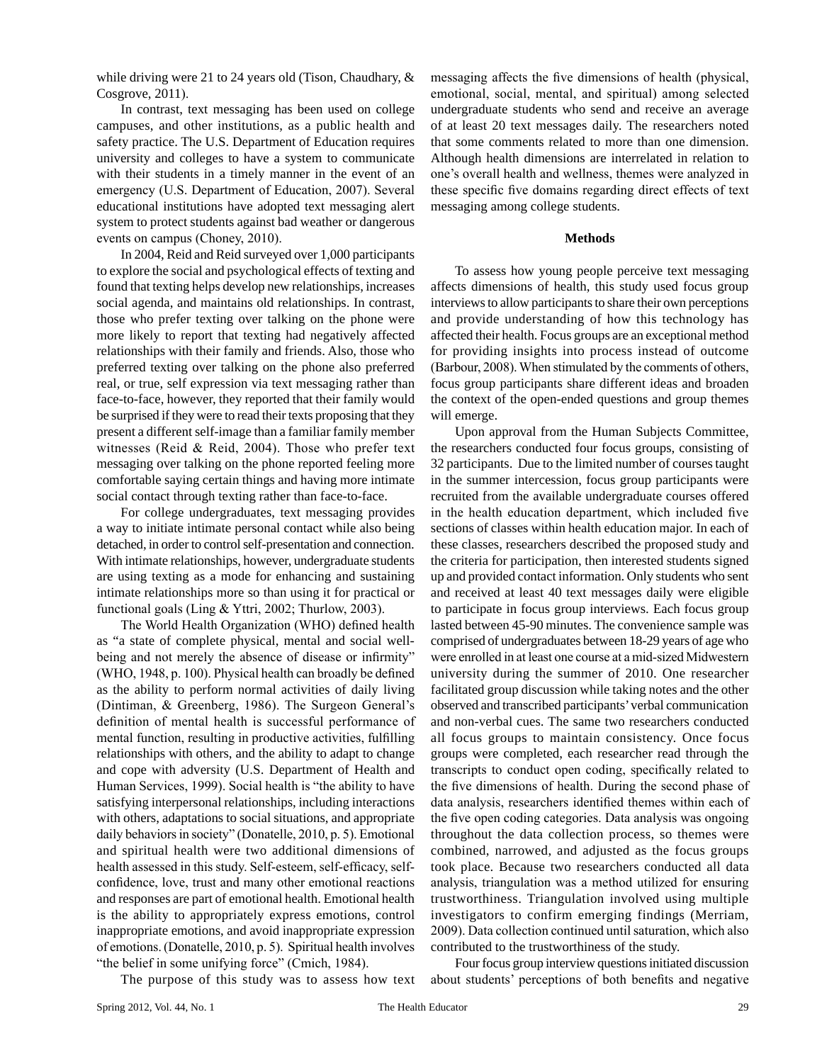while driving were 21 to 24 years old (Tison, Chaudhary, & Cosgrove, 2011).

In contrast, text messaging has been used on college campuses, and other institutions, as a public health and safety practice. The U.S. Department of Education requires university and colleges to have a system to communicate with their students in a timely manner in the event of an emergency (U.S. Department of Education, 2007). Several educational institutions have adopted text messaging alert system to protect students against bad weather or dangerous events on campus (Choney, 2010).

In 2004, Reid and Reid surveyed over 1,000 participants to explore the social and psychological effects of texting and found that texting helps develop new relationships, increases social agenda, and maintains old relationships. In contrast, those who prefer texting over talking on the phone were more likely to report that texting had negatively affected relationships with their family and friends. Also, those who preferred texting over talking on the phone also preferred real, or true, self expression via text messaging rather than face-to-face, however, they reported that their family would be surprised if they were to read their texts proposing that they present a different self-image than a familiar family member witnesses (Reid & Reid, 2004). Those who prefer text messaging over talking on the phone reported feeling more comfortable saying certain things and having more intimate social contact through texting rather than face-to-face.

For college undergraduates, text messaging provides a way to initiate intimate personal contact while also being detached, in order to control self-presentation and connection. With intimate relationships, however, undergraduate students are using texting as a mode for enhancing and sustaining intimate relationships more so than using it for practical or functional goals (Ling & Yttri, 2002; Thurlow, 2003).

The World Health Organization (WHO) defined health as "a state of complete physical, mental and social wellbeing and not merely the absence of disease or infirmity" (WHO, 1948, p. 100). Physical health can broadly be defined as the ability to perform normal activities of daily living (Dintiman, & Greenberg, 1986). The Surgeon General's definition of mental health is successful performance of mental function, resulting in productive activities, fulfilling relationships with others, and the ability to adapt to change and cope with adversity (U.S. Department of Health and Human Services, 1999). Social health is "the ability to have satisfying interpersonal relationships, including interactions with others, adaptations to social situations, and appropriate daily behaviors in society" (Donatelle, 2010, p. 5). Emotional and spiritual health were two additional dimensions of health assessed in this study. Self-esteem, self-efficacy, selfconfidence, love, trust and many other emotional reactions and responses are part of emotional health. Emotional health is the ability to appropriately express emotions, control inappropriate emotions, and avoid inappropriate expression of emotions. (Donatelle, 2010, p. 5). Spiritual health involves "the belief in some unifying force" (Cmich, 1984).

The purpose of this study was to assess how text

messaging affects the five dimensions of health (physical, emotional, social, mental, and spiritual) among selected undergraduate students who send and receive an average of at least 20 text messages daily. The researchers noted that some comments related to more than one dimension. Although health dimensions are interrelated in relation to one's overall health and wellness, themes were analyzed in these specific five domains regarding direct effects of text messaging among college students.

### **Methods**

To assess how young people perceive text messaging affects dimensions of health, this study used focus group interviews to allow participants to share their own perceptions and provide understanding of how this technology has affected their health. Focus groups are an exceptional method for providing insights into process instead of outcome (Barbour, 2008). When stimulated by the comments of others, focus group participants share different ideas and broaden the context of the open-ended questions and group themes will emerge.

Upon approval from the Human Subjects Committee, the researchers conducted four focus groups, consisting of 32 participants. Due to the limited number of courses taught in the summer intercession, focus group participants were recruited from the available undergraduate courses offered in the health education department, which included five sections of classes within health education major. In each of these classes, researchers described the proposed study and the criteria for participation, then interested students signed up and provided contact information. Only students who sent and received at least 40 text messages daily were eligible to participate in focus group interviews. Each focus group lasted between 45-90 minutes. The convenience sample was comprised of undergraduates between 18-29 years of age who were enrolled in at least one course at a mid-sized Midwestern university during the summer of 2010. One researcher facilitated group discussion while taking notes and the other observed and transcribed participants' verbal communication and non-verbal cues. The same two researchers conducted all focus groups to maintain consistency. Once focus groups were completed, each researcher read through the transcripts to conduct open coding, specifically related to the five dimensions of health. During the second phase of data analysis, researchers identified themes within each of the five open coding categories. Data analysis was ongoing throughout the data collection process, so themes were combined, narrowed, and adjusted as the focus groups took place. Because two researchers conducted all data analysis, triangulation was a method utilized for ensuring trustworthiness. Triangulation involved using multiple investigators to confirm emerging findings (Merriam, 2009). Data collection continued until saturation, which also contributed to the trustworthiness of the study.

Four focus group interview questions initiated discussion about students' perceptions of both benefits and negative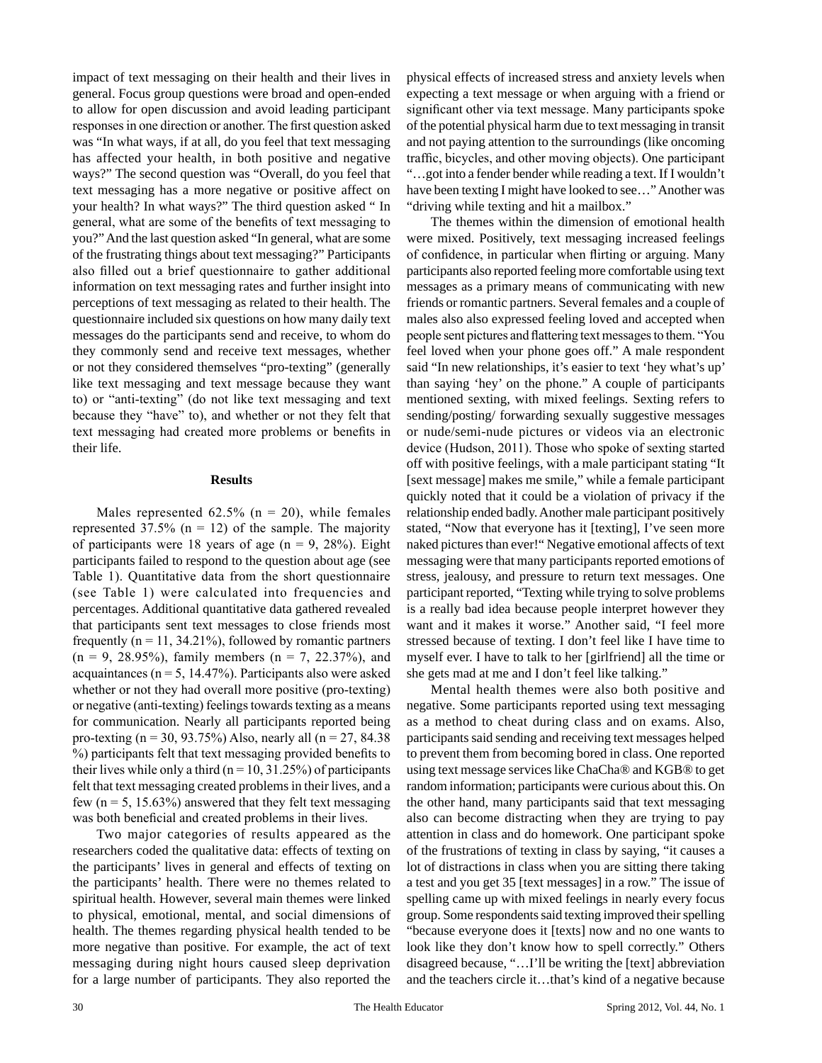impact of text messaging on their health and their lives in general. Focus group questions were broad and open-ended to allow for open discussion and avoid leading participant responses in one direction or another. The first question asked was "In what ways, if at all, do you feel that text messaging has affected your health, in both positive and negative ways?" The second question was "Overall, do you feel that text messaging has a more negative or positive affect on your health? In what ways?" The third question asked " In general, what are some of the benefits of text messaging to you?" And the last question asked "In general, what are some of the frustrating things about text messaging?" Participants also filled out a brief questionnaire to gather additional information on text messaging rates and further insight into perceptions of text messaging as related to their health. The questionnaire included six questions on how many daily text messages do the participants send and receive, to whom do they commonly send and receive text messages, whether or not they considered themselves "pro-texting" (generally like text messaging and text message because they want to) or "anti-texting" (do not like text messaging and text because they "have" to), and whether or not they felt that text messaging had created more problems or benefits in their life.

### **Results**

Males represented  $62.5\%$  (n = 20), while females represented  $37.5\%$  (n = 12) of the sample. The majority of participants were 18 years of age ( $n = 9$ , 28%). Eight participants failed to respond to the question about age (see Table 1). Quantitative data from the short questionnaire (see Table 1) were calculated into frequencies and percentages. Additional quantitative data gathered revealed that participants sent text messages to close friends most frequently ( $n = 11$ , 34.21%), followed by romantic partners  $(n = 9, 28.95\%)$ , family members  $(n = 7, 22.37\%)$ , and acquaintances ( $n = 5$ , 14.47%). Participants also were asked whether or not they had overall more positive (pro-texting) or negative (anti-texting) feelings towards texting as a means for communication. Nearly all participants reported being pro-texting (n = 30, 93.75%) Also, nearly all (n = 27, 84.38) %) participants felt that text messaging provided benefits to their lives while only a third ( $n = 10, 31.25\%$ ) of participants felt that text messaging created problems in their lives, and a few ( $n = 5$ , 15.63%) answered that they felt text messaging was both beneficial and created problems in their lives.

Two major categories of results appeared as the researchers coded the qualitative data: effects of texting on the participants' lives in general and effects of texting on the participants' health. There were no themes related to spiritual health. However, several main themes were linked to physical, emotional, mental, and social dimensions of health. The themes regarding physical health tended to be more negative than positive. For example, the act of text messaging during night hours caused sleep deprivation for a large number of participants. They also reported the

physical effects of increased stress and anxiety levels when expecting a text message or when arguing with a friend or significant other via text message. Many participants spoke of the potential physical harm due to text messaging in transit and not paying attention to the surroundings (like oncoming traffic, bicycles, and other moving objects). One participant "…got into a fender bender while reading a text. If I wouldn't have been texting I might have looked to see…" Another was "driving while texting and hit a mailbox."

The themes within the dimension of emotional health were mixed. Positively, text messaging increased feelings of confidence, in particular when flirting or arguing. Many participants also reported feeling more comfortable using text messages as a primary means of communicating with new friends or romantic partners. Several females and a couple of males also also expressed feeling loved and accepted when people sent pictures and flattering text messages to them. "You feel loved when your phone goes off." A male respondent said "In new relationships, it's easier to text 'hey what's up' than saying 'hey' on the phone." A couple of participants mentioned sexting, with mixed feelings. Sexting refers to sending/posting/ forwarding sexually suggestive messages or nude/semi-nude pictures or videos via an electronic device (Hudson, 2011). Those who spoke of sexting started off with positive feelings, with a male participant stating "It [sext message] makes me smile," while a female participant quickly noted that it could be a violation of privacy if the relationship ended badly. Another male participant positively stated, "Now that everyone has it [texting], I've seen more naked pictures than ever!" Negative emotional affects of text messaging were that many participants reported emotions of stress, jealousy, and pressure to return text messages. One participant reported, "Texting while trying to solve problems is a really bad idea because people interpret however they want and it makes it worse." Another said, "I feel more stressed because of texting. I don't feel like I have time to myself ever. I have to talk to her [girlfriend] all the time or she gets mad at me and I don't feel like talking."

Mental health themes were also both positive and negative. Some participants reported using text messaging as a method to cheat during class and on exams. Also, participants said sending and receiving text messages helped to prevent them from becoming bored in class. One reported using text message services like ChaCha® and KGB® to get random information; participants were curious about this. On the other hand, many participants said that text messaging also can become distracting when they are trying to pay attention in class and do homework. One participant spoke of the frustrations of texting in class by saying, "it causes a lot of distractions in class when you are sitting there taking a test and you get 35 [text messages] in a row." The issue of spelling came up with mixed feelings in nearly every focus group. Some respondents said texting improved their spelling "because everyone does it [texts] now and no one wants to look like they don't know how to spell correctly." Others disagreed because, "…I'll be writing the [text] abbreviation and the teachers circle it…that's kind of a negative because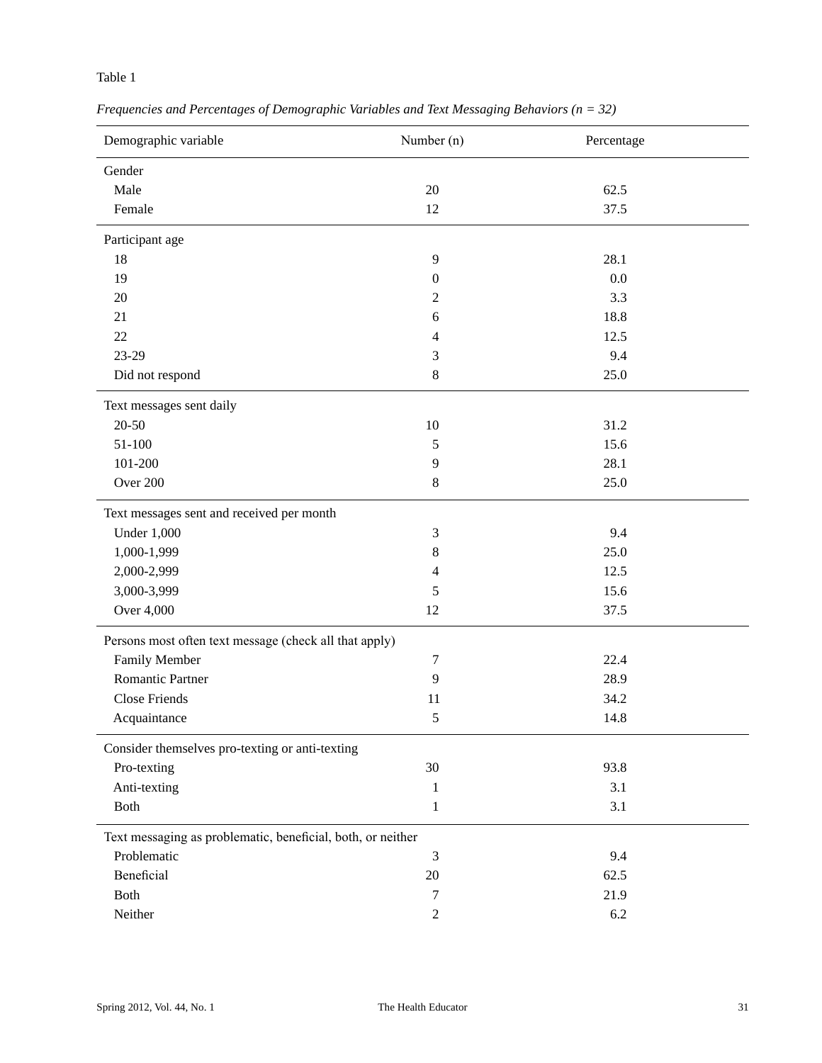## Table 1

| Demographic variable                                        | Number (n)       | Percentage |  |
|-------------------------------------------------------------|------------------|------------|--|
| Gender                                                      |                  |            |  |
| Male                                                        | 20               | 62.5       |  |
| Female                                                      | 12               | 37.5       |  |
| Participant age                                             |                  |            |  |
| 18                                                          | 9                | 28.1       |  |
| 19                                                          | $\boldsymbol{0}$ | 0.0        |  |
| 20                                                          | 2                | 3.3        |  |
| 21                                                          | 6                | 18.8       |  |
| 22                                                          | 4                | 12.5       |  |
| 23-29                                                       | 3                | 9.4        |  |
| Did not respond                                             | 8                | 25.0       |  |
| Text messages sent daily                                    |                  |            |  |
| $20 - 50$                                                   | 10               | 31.2       |  |
| 51-100                                                      | 5                | 15.6       |  |
| 101-200                                                     | 9                | 28.1       |  |
| Over 200                                                    | 8                | 25.0       |  |
| Text messages sent and received per month                   |                  |            |  |
| <b>Under 1,000</b>                                          | 3                | 9.4        |  |
| 1,000-1,999                                                 | 8                | 25.0       |  |
| 2,000-2,999                                                 | 4                | 12.5       |  |
| 3,000-3,999                                                 | 5                | 15.6       |  |
| Over 4,000                                                  | 12               | 37.5       |  |
| Persons most often text message (check all that apply)      |                  |            |  |
| Family Member                                               | 7                | 22.4       |  |
| <b>Romantic Partner</b>                                     | 9                | 28.9       |  |
| <b>Close Friends</b>                                        | 11               | 34.2       |  |
| Acquaintance                                                | 5                | 14.8       |  |
| Consider themselves pro-texting or anti-texting             |                  |            |  |
| Pro-texting                                                 | 30               | 93.8       |  |
| Anti-texting                                                | $\mathbf{1}$     | 3.1        |  |
| Both                                                        | 1                | 3.1        |  |
| Text messaging as problematic, beneficial, both, or neither |                  |            |  |
| Problematic                                                 | 3                | 9.4        |  |
| Beneficial                                                  | 20               | 62.5       |  |
| Both                                                        | 7                | 21.9       |  |
| Neither                                                     | $\overline{c}$   | 6.2        |  |

*Frequencies and Percentages of Demographic Variables and Text Messaging Behaviors (n = 32)*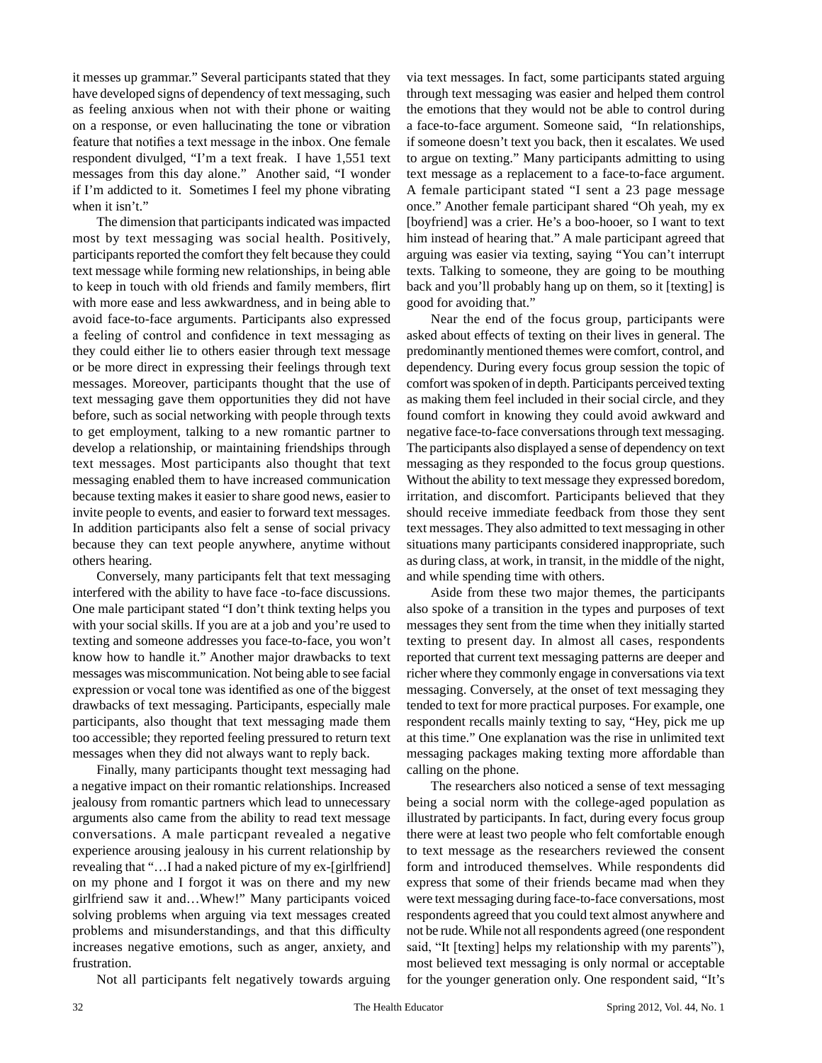it messes up grammar." Several participants stated that they have developed signs of dependency of text messaging, such as feeling anxious when not with their phone or waiting on a response, or even hallucinating the tone or vibration feature that notifies a text message in the inbox. One female respondent divulged, "I'm a text freak. I have 1,551 text messages from this day alone." Another said, "I wonder if I'm addicted to it. Sometimes I feel my phone vibrating when it isn't."

The dimension that participants indicated was impacted most by text messaging was social health. Positively, participants reported the comfort they felt because they could text message while forming new relationships, in being able to keep in touch with old friends and family members, flirt with more ease and less awkwardness, and in being able to avoid face-to-face arguments. Participants also expressed a feeling of control and confidence in text messaging as they could either lie to others easier through text message or be more direct in expressing their feelings through text messages. Moreover, participants thought that the use of text messaging gave them opportunities they did not have before, such as social networking with people through texts to get employment, talking to a new romantic partner to develop a relationship, or maintaining friendships through text messages. Most participants also thought that text messaging enabled them to have increased communication because texting makes it easier to share good news, easier to invite people to events, and easier to forward text messages. In addition participants also felt a sense of social privacy because they can text people anywhere, anytime without others hearing.

Conversely, many participants felt that text messaging interfered with the ability to have face -to-face discussions. One male participant stated "I don't think texting helps you with your social skills. If you are at a job and you're used to texting and someone addresses you face-to-face, you won't know how to handle it." Another major drawbacks to text messages was miscommunication. Not being able to see facial expression or vocal tone was identified as one of the biggest drawbacks of text messaging. Participants, especially male participants, also thought that text messaging made them too accessible; they reported feeling pressured to return text messages when they did not always want to reply back.

Finally, many participants thought text messaging had a negative impact on their romantic relationships. Increased jealousy from romantic partners which lead to unnecessary arguments also came from the ability to read text message conversations. A male particpant revealed a negative experience arousing jealousy in his current relationship by revealing that "…I had a naked picture of my ex-[girlfriend] on my phone and I forgot it was on there and my new girlfriend saw it and…Whew!" Many participants voiced solving problems when arguing via text messages created problems and misunderstandings, and that this difficulty increases negative emotions, such as anger, anxiety, and frustration.

via text messages. In fact, some participants stated arguing through text messaging was easier and helped them control the emotions that they would not be able to control during a face-to-face argument. Someone said, "In relationships, if someone doesn't text you back, then it escalates. We used to argue on texting." Many participants admitting to using text message as a replacement to a face-to-face argument. A female participant stated "I sent a 23 page message once." Another female participant shared "Oh yeah, my ex [boyfriend] was a crier. He's a boo-hooer, so I want to text him instead of hearing that." A male participant agreed that arguing was easier via texting, saying "You can't interrupt texts. Talking to someone, they are going to be mouthing back and you'll probably hang up on them, so it [texting] is good for avoiding that."

Near the end of the focus group, participants were asked about effects of texting on their lives in general. The predominantly mentioned themes were comfort, control, and dependency. During every focus group session the topic of comfort was spoken of in depth. Participants perceived texting as making them feel included in their social circle, and they found comfort in knowing they could avoid awkward and negative face-to-face conversations through text messaging. The participants also displayed a sense of dependency on text messaging as they responded to the focus group questions. Without the ability to text message they expressed boredom, irritation, and discomfort. Participants believed that they should receive immediate feedback from those they sent text messages. They also admitted to text messaging in other situations many participants considered inappropriate, such as during class, at work, in transit, in the middle of the night, and while spending time with others.

Aside from these two major themes, the participants also spoke of a transition in the types and purposes of text messages they sent from the time when they initially started texting to present day. In almost all cases, respondents reported that current text messaging patterns are deeper and richer where they commonly engage in conversations via text messaging. Conversely, at the onset of text messaging they tended to text for more practical purposes. For example, one respondent recalls mainly texting to say, "Hey, pick me up at this time." One explanation was the rise in unlimited text messaging packages making texting more affordable than calling on the phone.

The researchers also noticed a sense of text messaging being a social norm with the college-aged population as illustrated by participants. In fact, during every focus group there were at least two people who felt comfortable enough to text message as the researchers reviewed the consent form and introduced themselves. While respondents did express that some of their friends became mad when they were text messaging during face-to-face conversations, most respondents agreed that you could text almost anywhere and not be rude. While not all respondents agreed (one respondent said, "It [texting] helps my relationship with my parents"), most believed text messaging is only normal or acceptable for the younger generation only. One respondent said, "It's

Not all participants felt negatively towards arguing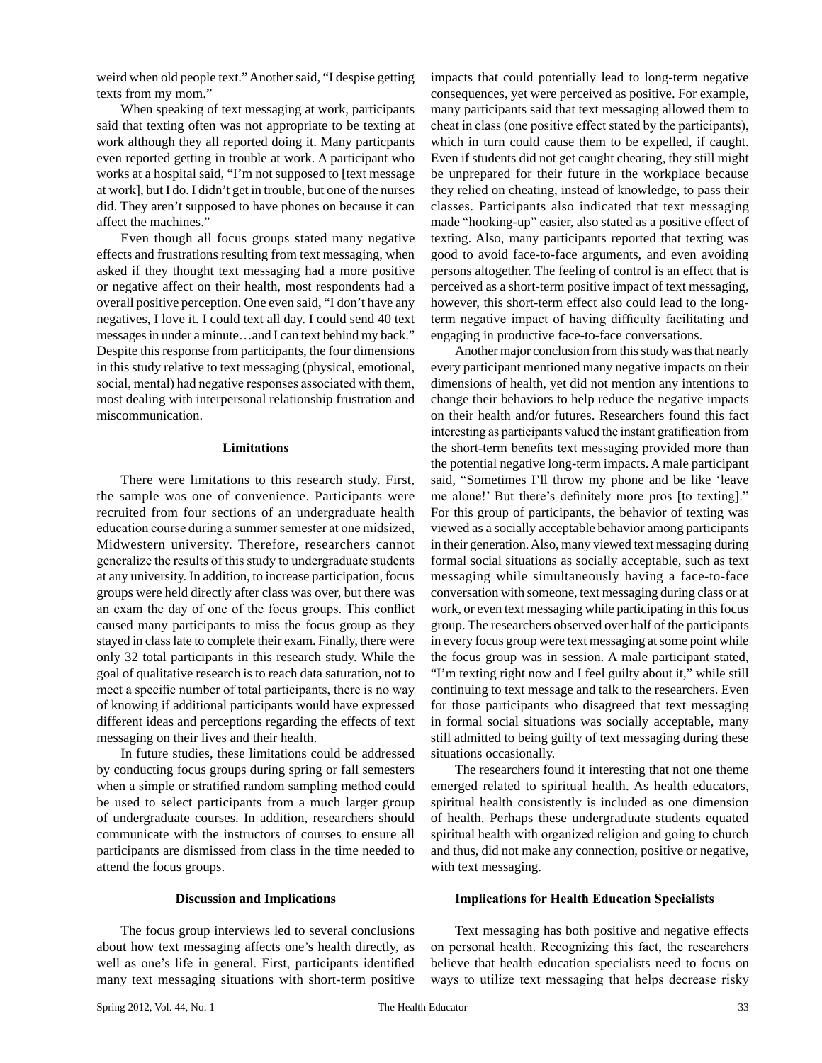weird when old people text." Another said, "I despise getting texts from my mom."

When speaking of text messaging at work, participants said that texting often was not appropriate to be texting at work although they all reported doing it. Many particpants even reported getting in trouble at work. A participant who works at a hospital said, "I'm not supposed to [text message at work], but I do. I didn't get in trouble, but one of the nurses did. They aren't supposed to have phones on because it can affect the machines."

Even though all focus groups stated many negative effects and frustrations resulting from text messaging, when asked if they thought text messaging had a more positive or negative affect on their health, most respondents had a overall positive perception. One even said, "I don't have any negatives, I love it. I could text all day. I could send 40 text messages in under a minute…and I can text behind my back." Despite this response from participants, the four dimensions in this study relative to text messaging (physical, emotional, social, mental) had negative responses associated with them, most dealing with interpersonal relationship frustration and miscommunication.

#### **Limitations**

There were limitations to this research study. First, the sample was one of convenience. Participants were recruited from four sections of an undergraduate health education course during a summer semester at one midsized, Midwestern university. Therefore, researchers cannot generalize the results of this study to undergraduate students at any university. In addition, to increase participation, focus groups were held directly after class was over, but there was an exam the day of one of the focus groups. This conflict caused many participants to miss the focus group as they stayed in class late to complete their exam. Finally, there were only 32 total participants in this research study. While the goal of qualitative research is to reach data saturation, not to meet a specific number of total participants, there is no way of knowing if additional participants would have expressed different ideas and perceptions regarding the effects of text messaging on their lives and their health.

In future studies, these limitations could be addressed by conducting focus groups during spring or fall semesters when a simple or stratified random sampling method could be used to select participants from a much larger group of undergraduate courses. In addition, researchers should communicate with the instructors of courses to ensure all participants are dismissed from class in the time needed to attend the focus groups.

#### **Discussion and Implications**

The focus group interviews led to several conclusions about how text messaging affects one's health directly, as well as one's life in general. First, participants identified many text messaging situations with short-term positive

impacts that could potentially lead to long-term negative consequences, yet were perceived as positive. For example, many participants said that text messaging allowed them to cheat in class (one positive effect stated by the participants), which in turn could cause them to be expelled, if caught. Even if students did not get caught cheating, they still might be unprepared for their future in the workplace because they relied on cheating, instead of knowledge, to pass their classes. Participants also indicated that text messaging made "hooking-up" easier, also stated as a positive effect of texting. Also, many participants reported that texting was good to avoid face-to-face arguments, and even avoiding persons altogether. The feeling of control is an effect that is perceived as a short-term positive impact of text messaging, however, this short-term effect also could lead to the longterm negative impact of having difficulty facilitating and engaging in productive face-to-face conversations.

Another major conclusion from this study was that nearly every participant mentioned many negative impacts on their dimensions of health, yet did not mention any intentions to change their behaviors to help reduce the negative impacts on their health and/or futures. Researchers found this fact interesting as participants valued the instant gratification from the short-term benefits text messaging provided more than the potential negative long-term impacts. A male participant said, "Sometimes I'll throw my phone and be like 'leave me alone!' But there's definitely more pros [to texting]." For this group of participants, the behavior of texting was viewed as a socially acceptable behavior among participants in their generation. Also, many viewed text messaging during formal social situations as socially acceptable, such as text messaging while simultaneously having a face-to-face conversation with someone, text messaging during class or at work, or even text messaging while participating in this focus group. The researchers observed over half of the participants in every focus group were text messaging at some point while the focus group was in session. A male participant stated, "I'm texting right now and I feel guilty about it," while still continuing to text message and talk to the researchers. Even for those participants who disagreed that text messaging in formal social situations was socially acceptable, many still admitted to being guilty of text messaging during these situations occasionally.

The researchers found it interesting that not one theme emerged related to spiritual health. As health educators, spiritual health consistently is included as one dimension of health. Perhaps these undergraduate students equated spiritual health with organized religion and going to church and thus, did not make any connection, positive or negative, with text messaging.

#### **Implications for Health Education Specialists**

Text messaging has both positive and negative effects on personal health. Recognizing this fact, the researchers believe that health education specialists need to focus on ways to utilize text messaging that helps decrease risky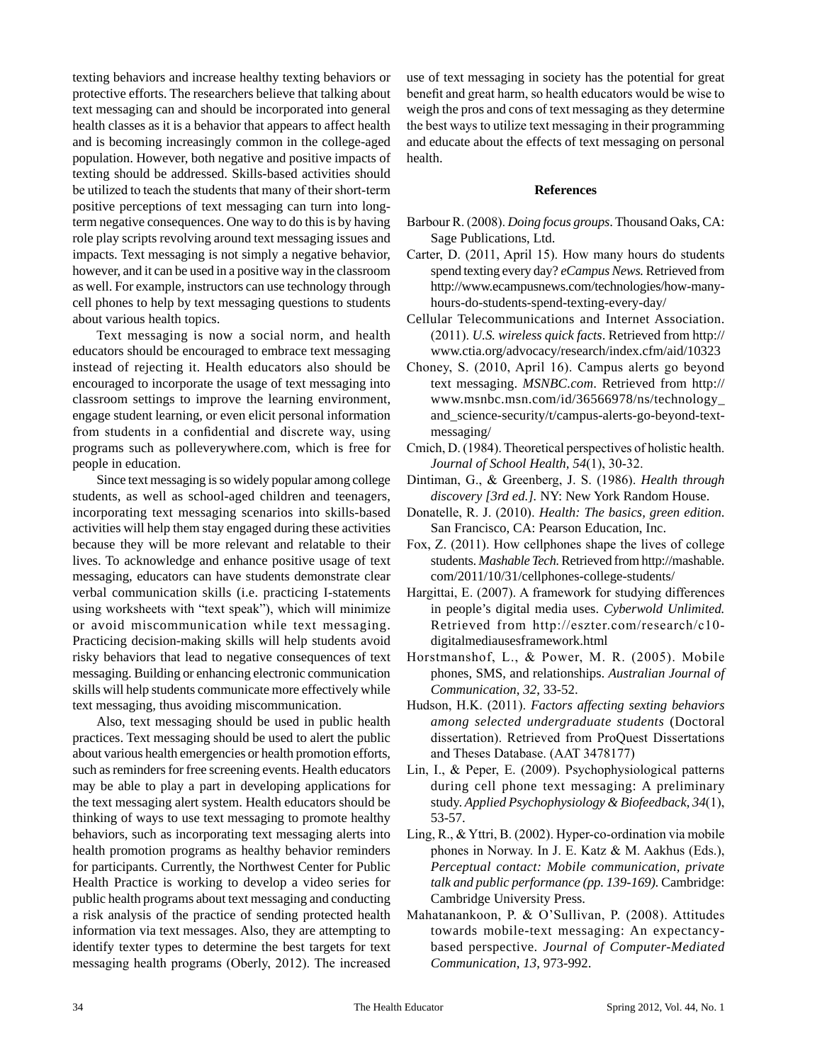texting behaviors and increase healthy texting behaviors or protective efforts. The researchers believe that talking about text messaging can and should be incorporated into general health classes as it is a behavior that appears to affect health and is becoming increasingly common in the college-aged population. However, both negative and positive impacts of texting should be addressed. Skills-based activities should be utilized to teach the students that many of their short-term positive perceptions of text messaging can turn into longterm negative consequences. One way to do this is by having role play scripts revolving around text messaging issues and impacts. Text messaging is not simply a negative behavior, however, and it can be used in a positive way in the classroom as well. For example, instructors can use technology through cell phones to help by text messaging questions to students about various health topics.

Text messaging is now a social norm, and health educators should be encouraged to embrace text messaging instead of rejecting it. Health educators also should be encouraged to incorporate the usage of text messaging into classroom settings to improve the learning environment, engage student learning, or even elicit personal information from students in a confidential and discrete way, using programs such as polleverywhere.com, which is free for people in education.

Since text messaging is so widely popular among college students, as well as school-aged children and teenagers, incorporating text messaging scenarios into skills-based activities will help them stay engaged during these activities because they will be more relevant and relatable to their lives. To acknowledge and enhance positive usage of text messaging, educators can have students demonstrate clear verbal communication skills (i.e. practicing I-statements using worksheets with "text speak"), which will minimize or avoid miscommunication while text messaging. Practicing decision-making skills will help students avoid risky behaviors that lead to negative consequences of text messaging. Building or enhancing electronic communication skills will help students communicate more effectively while text messaging, thus avoiding miscommunication.

Also, text messaging should be used in public health practices. Text messaging should be used to alert the public about various health emergencies or health promotion efforts, such as reminders for free screening events. Health educators may be able to play a part in developing applications for the text messaging alert system. Health educators should be thinking of ways to use text messaging to promote healthy behaviors, such as incorporating text messaging alerts into health promotion programs as healthy behavior reminders for participants. Currently, the Northwest Center for Public Health Practice is working to develop a video series for public health programs about text messaging and conducting a risk analysis of the practice of sending protected health information via text messages. Also, they are attempting to identify texter types to determine the best targets for text messaging health programs (Oberly, 2012). The increased

use of text messaging in society has the potential for great benefit and great harm, so health educators would be wise to weigh the pros and cons of text messaging as they determine the best ways to utilize text messaging in their programming and educate about the effects of text messaging on personal health.

#### **References**

- Barbour R. (2008). *Doing focus groups*. Thousand Oaks, CA: Sage Publications, Ltd.
- Carter, D. (2011, April 15). How many hours do students spend texting every day? *eCampus News.* Retrieved from http://www.ecampusnews.com/technologies/how-manyhours-do-students-spend-texting-every-day/
- Cellular Telecommunications and Internet Association. (2011). *U.S. wireless quick facts*. Retrieved from http:// www.ctia.org/advocacy/research/index.cfm/aid/10323
- Choney, S. (2010, April 16). Campus alerts go beyond text messaging. *MSNBC.com*. Retrieved from http:// www.msnbc.msn.com/id/36566978/ns/technology\_ and\_science-security/t/campus-alerts-go-beyond-textmessaging/
- Cmich, D. (1984). Theoretical perspectives of holistic health. *Journal of School Health, 54*(1), 30-32.
- Dintiman, G., & Greenberg, J. S. (1986). *Health through discovery [3rd ed.].* NY: New York Random House.
- Donatelle, R. J. (2010). *Health: The basics, green edition*. San Francisco, CA: Pearson Education, Inc.
- Fox, Z. (2011). How cellphones shape the lives of college students. *Mashable Tech.* Retrieved from http://mashable. com/2011/10/31/cellphones-college-students/
- Hargittai, E. (2007). A framework for studying differences in people's digital media uses. *Cyberwold Unlimited.*  Retrieved from http://eszter.com/research/c10 digitalmediausesframework.html
- Horstmanshof, L., & Power, M. R. (2005). Mobile phones, SMS, and relationships. *Australian Journal of Communication*, *32*, 33-52.
- Hudson, H.K. (2011). *Factors affecting sexting behaviors among selected undergraduate students* (Doctoral dissertation). Retrieved from ProQuest Dissertations and Theses Database. (AAT 3478177)
- Lin, I., & Peper, E. (2009). Psychophysiological patterns during cell phone text messaging: A preliminary study. *Applied Psychophysiology & Biofeedback*, *34*(1), 53-57.
- Ling, R., & Yttri, B. (2002). Hyper-co-ordination via mobile phones in Norway. In J. E. Katz & M. Aakhus (Eds.), *Perceptual contact: Mobile communication, private talk and public performance (pp. 139-169).* Cambridge: Cambridge University Press.
- Mahatanankoon, P. & O'Sullivan, P. (2008). Attitudes towards mobile-text messaging: An expectancybased perspective. *Journal of Computer-Mediated Communication, 13*, 973-992.